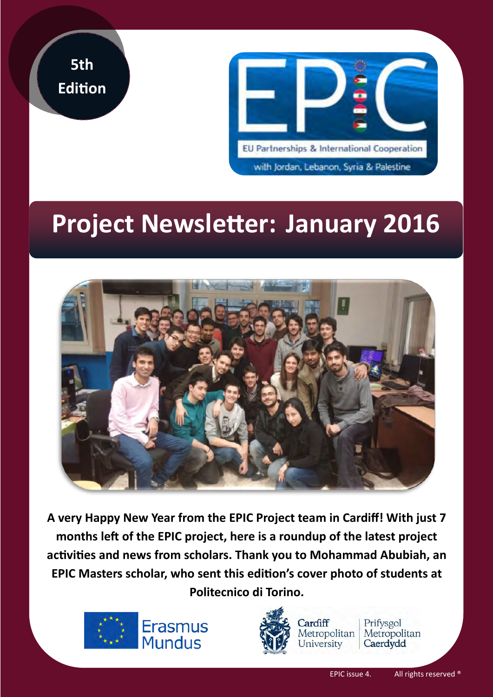



# **Project Newsletter: January 2016**



**A very Happy New Year from the EPIC Project team in Cardiff! With just 7 months left of the EPIC project, here is a roundup of the latest project activities and news from scholars. Thank you to Mohammad Abubiah, an EPIC Masters scholar, who sent this edition's cover photo of students at Politecnico di Torino.**





Cardiff

University

Prifysgol Metropolitan Metropolitan Caerdydd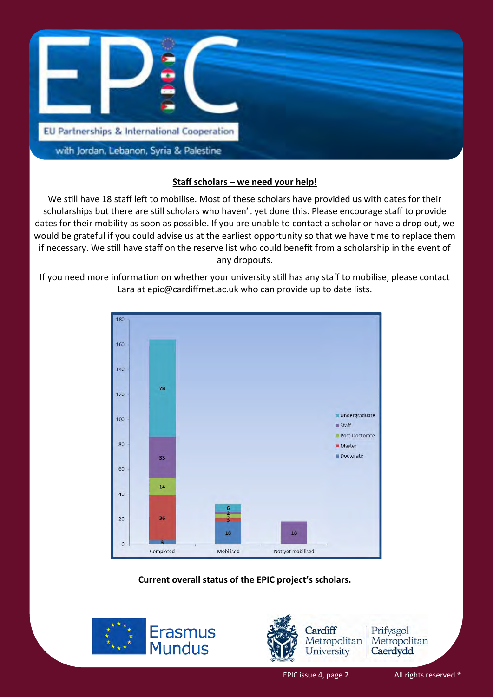

#### **Staff scholars – we need your help!**

We still have 18 staff left to mobilise. Most of these scholars have provided us with dates for their scholarships but there are still scholars who haven't yet done this. Please encourage staff to provide dates for their mobility as soon as possible. If you are unable to contact a scholar or have a drop out, we would be grateful if you could advise us at the earliest opportunity so that we have time to replace them if necessary. We still have staff on the reserve list who could benefit from a scholarship in the event of any dropouts.

If you need more information on whether your university still has any staff to mobilise, please contact Lara at epic@cardiffmet.ac.uk who can provide up to date lists.



#### **Current overall status of the EPIC project's scholars.**





Prifysgol Metropolitan Caerdydd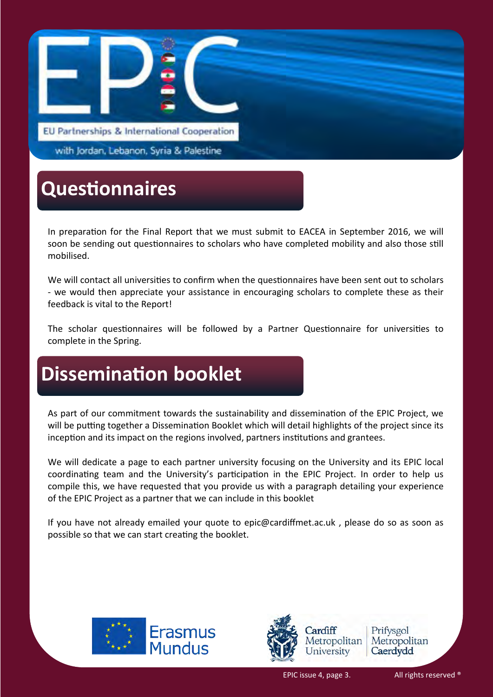

with Jordan, Lebanon, Syria & Palestine

## **Questionnaires**

In preparation for the Final Report that we must submit to EACEA in September 2016, we will soon be sending out questionnaires to scholars who have completed mobility and also those still mobilised.

We will contact all universities to confirm when the questionnaires have been sent out to scholars - we would then appreciate your assistance in encouraging scholars to complete these as their feedback is vital to the Report!

The scholar questionnaires will be followed by a Partner Questionnaire for universities to complete in the Spring.

## **Dissemination booklet**

As part of our commitment towards the sustainability and dissemination of the EPIC Project, we will be putting together a Dissemination Booklet which will detail highlights of the project since its inception and its impact on the regions involved, partners institutions and grantees.

We will dedicate a page to each partner university focusing on the University and its EPIC local coordinating team and the University's participation in the EPIC Project. In order to help us compile this, we have requested that you provide us with a paragraph detailing your experience of the EPIC Project as a partner that we can include in this booklet

If you have not already emailed your quote to epic@cardiffmet.ac.uk , please do so as soon as possible so that we can start creating the booklet.





Prifysgol Metropolitan Caerdydd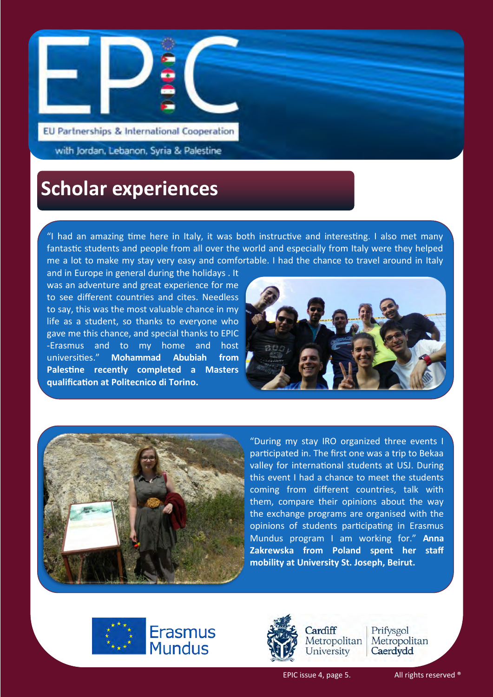

EU Partnerships & International Cooperation

with Jordan, Lebanon, Syria & Palestine

### **Scholar experiences**

"I had an amazing time here in Italy, it was both instructive and interesting. I also met many fantastic students and people from all over the world and especially from Italy were they helped me a lot to make my stay very easy and comfortable. I had the chance to travel around in Italy

and in Europe in general during the holidays . It was an adventure and great experience for me to see different countries and cites. Needless to say, this was the most valuable chance in my life as a student, so thanks to everyone who gave me this chance, and special thanks to EPIC -Erasmus and to my home and host universities." **Mohammad Abubiah from Palestine recently completed a Masters qualification at Politecnico di Torino.** 





"During my stay IRO organized three events I participated in. The first one was a trip to Bekaa valley for international students at USJ. During this event I had a chance to meet the students coming from different countries, talk with them, compare their opinions about the way the exchange programs are organised with the opinions of students participating in Erasmus Mundus program I am working for." **Anna Zakrewska from Poland spent her staff mobility at University St. Joseph, Beirut.** 





Cardiff Metropolitan University

Prifysgol Metropolitan Caerdydd

EPIC issue 4, page 5. All rights reserved ®